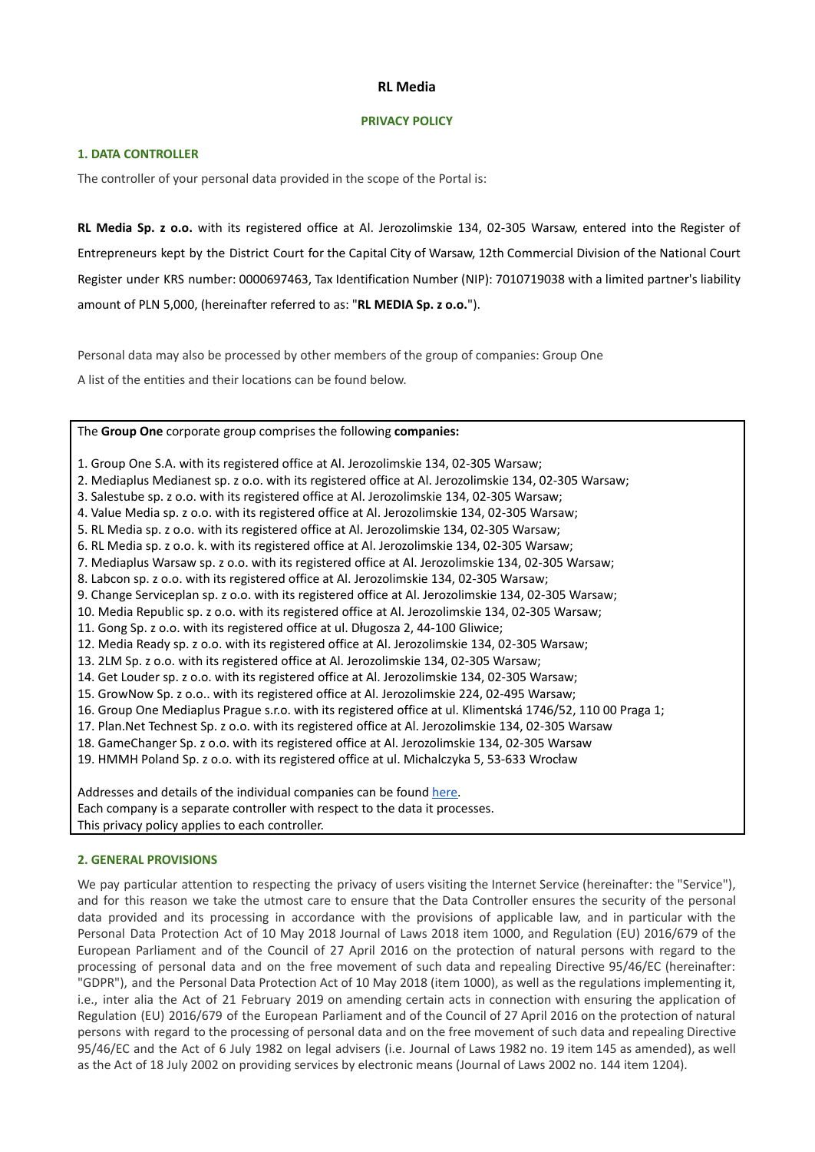# **RL Media**

## **PRIVACY POLICY**

### **1. DATA CONTROLLER**

The controller of your personal data provided in the scope of the Portal is:

**RL Media Sp. z o.o.** with its registered office at Al. Jerozolimskie 134, 02-305 Warsaw, entered into the Register of Entrepreneurs kept by the District Court for the Capital City of Warsaw, 12th Commercial Division of the National Court Register under KRS number: 0000697463, Tax Identification Number (NIP): 7010719038 with a limited partner's liability amount of PLN 5,000, (hereinafter referred to as: "**RL MEDIA Sp. z o.o.**").

Personal data may also be processed by other members of the group of companies: Group One

A list of the entities and their locations can be found below.

The **Group One** corporate group comprises the following **companies:**

1. Group One S.A. with its registered office at Al. Jerozolimskie 134, 02-305 Warsaw;

- 2. Mediaplus Medianest sp. z o.o. with its registered office at Al. Jerozolimskie 134, 02-305 Warsaw;
- 3. Salestube sp. z o.o. with its registered office at Al. Jerozolimskie 134, 02-305 Warsaw;
- 4. Value Media sp. z o.o. with its registered office at Al. Jerozolimskie 134, 02-305 Warsaw;
- 5. RL Media sp. z o.o. with its registered office at Al. Jerozolimskie 134, 02-305 Warsaw;
- 6. RL Media sp. z o.o. k. with its registered office at Al. Jerozolimskie 134, 02-305 Warsaw;
- 7. Mediaplus Warsaw sp. z o.o. with its registered office at Al. Jerozolimskie 134, 02-305 Warsaw;
- 8. Labcon sp. z o.o. with its registered office at Al. Jerozolimskie 134, 02-305 Warsaw;
- 9. Change Serviceplan sp. z o.o. with its registered office at Al. Jerozolimskie 134, 02-305 Warsaw;
- 10. Media Republic sp. z o.o. with its registered office at Al. Jerozolimskie 134, 02-305 Warsaw;

11. Gong Sp. z o.o. with its registered office at ul. Długosza 2, 44-100 Gliwice;

- 12. Media Ready sp. z o.o. with its registered office at Al. Jerozolimskie 134, 02-305 Warsaw;
- 13. 2LM Sp. z o.o. with its registered office at Al. Jerozolimskie 134, 02-305 Warsaw;
- 14. Get Louder sp. z o.o. with its registered office at Al. Jerozolimskie 134, 02-305 Warsaw;
- 15. GrowNow Sp. z o.o.. with its registered office at Al. Jerozolimskie 224, 02-495 Warsaw;
- 16. Group One Mediaplus Prague s.r.o. with its registered office at ul. Klimentská 1746/52, 110 00 Praga 1;
- 17. Plan.Net Technest Sp. z o.o. with its registered office at Al. Jerozolimskie 134, 02-305 Warsaw
- 18. GameChanger Sp. z o.o. with its registered office at Al. Jerozolimskie 134, 02-305 Warsaw
- 19. HMMH Poland Sp. z o.o. with its registered office at ul. Michalczyka 5, 53-633 Wrocław

Addresses and details of the individual companies can be found [here.](https://rlmedia.pl/wp-content/uploads/2022/03/Zalacznik_2.pdf) Each company is a separate controller with respect to the data it processes. This privacy policy applies to each controller.

# **2. GENERAL PROVISIONS**

We pay particular attention to respecting the privacy of users visiting the Internet Service (hereinafter: the "Service"), and for this reason we take the utmost care to ensure that the Data Controller ensures the security of the personal data provided and its processing in accordance with the provisions of applicable law, and in particular with the Personal Data Protection Act of 10 May 2018 Journal of Laws 2018 item 1000, and Regulation (EU) 2016/679 of the European Parliament and of the Council of 27 April 2016 on the protection of natural persons with regard to the processing of personal data and on the free movement of such data and repealing Directive 95/46/EC (hereinafter: "GDPR"), and the Personal Data Protection Act of 10 May 2018 (item 1000), as well as the regulations implementing it, i.e., inter alia the Act of 21 February 2019 on amending certain acts in connection with ensuring the application of Regulation (EU) 2016/679 of the European Parliament and of the Council of 27 April 2016 on the protection of natural persons with regard to the processing of personal data and on the free movement of such data and repealing Directive 95/46/EC and the Act of 6 July 1982 on legal advisers (i.e. Journal of Laws 1982 no. 19 item 145 as amended), as well as the Act of 18 July 2002 on providing services by electronic means (Journal of Laws 2002 no. 144 item 1204).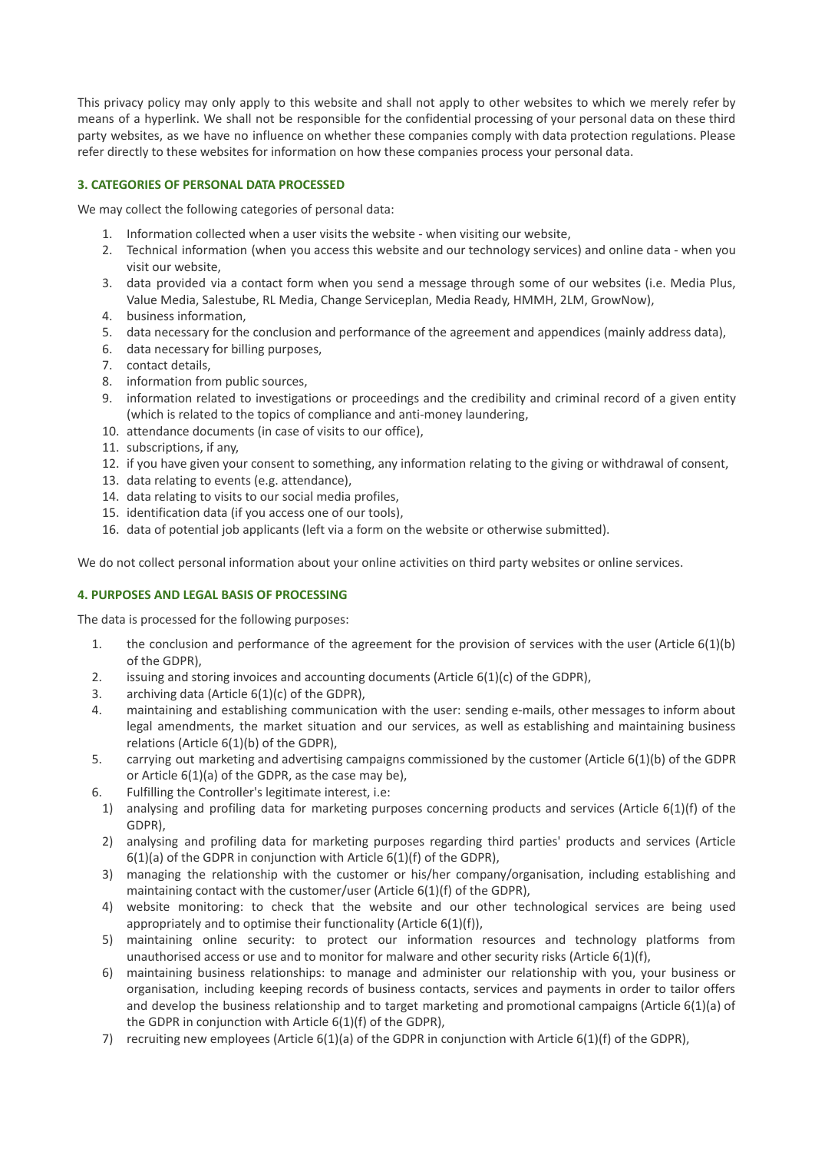This privacy policy may only apply to this website and shall not apply to other websites to which we merely refer by means of a hyperlink. We shall not be responsible for the confidential processing of your personal data on these third party websites, as we have no influence on whether these companies comply with data protection regulations. Please refer directly to these websites for information on how these companies process your personal data.

# **3. CATEGORIES OF PERSONAL DATA PROCESSED**

We may collect the following categories of personal data:

- 1. Information collected when a user visits the website when visiting our website,
- 2. Technical information (when you access this website and our technology services) and online data when you visit our website,
- 3. data provided via a contact form when you send a message through some of our websites (i.e. Media Plus, Value Media, Salestube, RL Media, Change Serviceplan, Media Ready, HMMH, 2LM, GrowNow),
- 4. business information,
- 5. data necessary for the conclusion and performance of the agreement and appendices (mainly address data),
- 6. data necessary for billing purposes,
- 7. contact details,
- 8. information from public sources,
- 9. information related to investigations or proceedings and the credibility and criminal record of a given entity (which is related to the topics of compliance and anti-money laundering,
- 10. attendance documents (in case of visits to our office),
- 11. subscriptions, if any,
- 12. if you have given your consent to something, any information relating to the giving or withdrawal of consent,
- 13. data relating to events (e.g. attendance),
- 14. data relating to visits to our social media profiles,
- 15. identification data (if you access one of our tools),
- 16. data of potential job applicants (left via a form on the website or otherwise submitted).

We do not collect personal information about your online activities on third party websites or online services.

## **4. PURPOSES AND LEGAL BASIS OF PROCESSING**

The data is processed for the following purposes:

- 1. the conclusion and performance of the agreement for the provision of services with the user (Article 6(1)(b) of the GDPR),
- 2. issuing and storing invoices and accounting documents (Article 6(1)(c) of the GDPR),
- 3. archiving data (Article 6(1)(c) of the GDPR),
- 4. maintaining and establishing communication with the user: sending e-mails, other messages to inform about legal amendments, the market situation and our services, as well as establishing and maintaining business relations (Article 6(1)(b) of the GDPR),
- 5. carrying out marketing and advertising campaigns commissioned by the customer (Article 6(1)(b) of the GDPR or Article 6(1)(a) of the GDPR, as the case may be),
- 6. Fulfilling the Controller's legitimate interest, i.e:
- 1) analysing and profiling data for marketing purposes concerning products and services (Article 6(1)(f) of the GDPR),
- 2) analysing and profiling data for marketing purposes regarding third parties' products and services (Article 6(1)(a) of the GDPR in conjunction with Article 6(1)(f) of the GDPR),
- 3) managing the relationship with the customer or his/her company/organisation, including establishing and maintaining contact with the customer/user (Article 6(1)(f) of the GDPR),
- 4) website monitoring: to check that the website and our other technological services are being used appropriately and to optimise their functionality (Article 6(1)(f)),
- 5) maintaining online security: to protect our information resources and technology platforms from unauthorised access or use and to monitor for malware and other security risks (Article 6(1)(f),
- 6) maintaining business relationships: to manage and administer our relationship with you, your business or organisation, including keeping records of business contacts, services and payments in order to tailor offers and develop the business relationship and to target marketing and promotional campaigns (Article 6(1)(a) of the GDPR in conjunction with Article 6(1)(f) of the GDPR),
- 7) recruiting new employees (Article 6(1)(a) of the GDPR in conjunction with Article 6(1)(f) of the GDPR),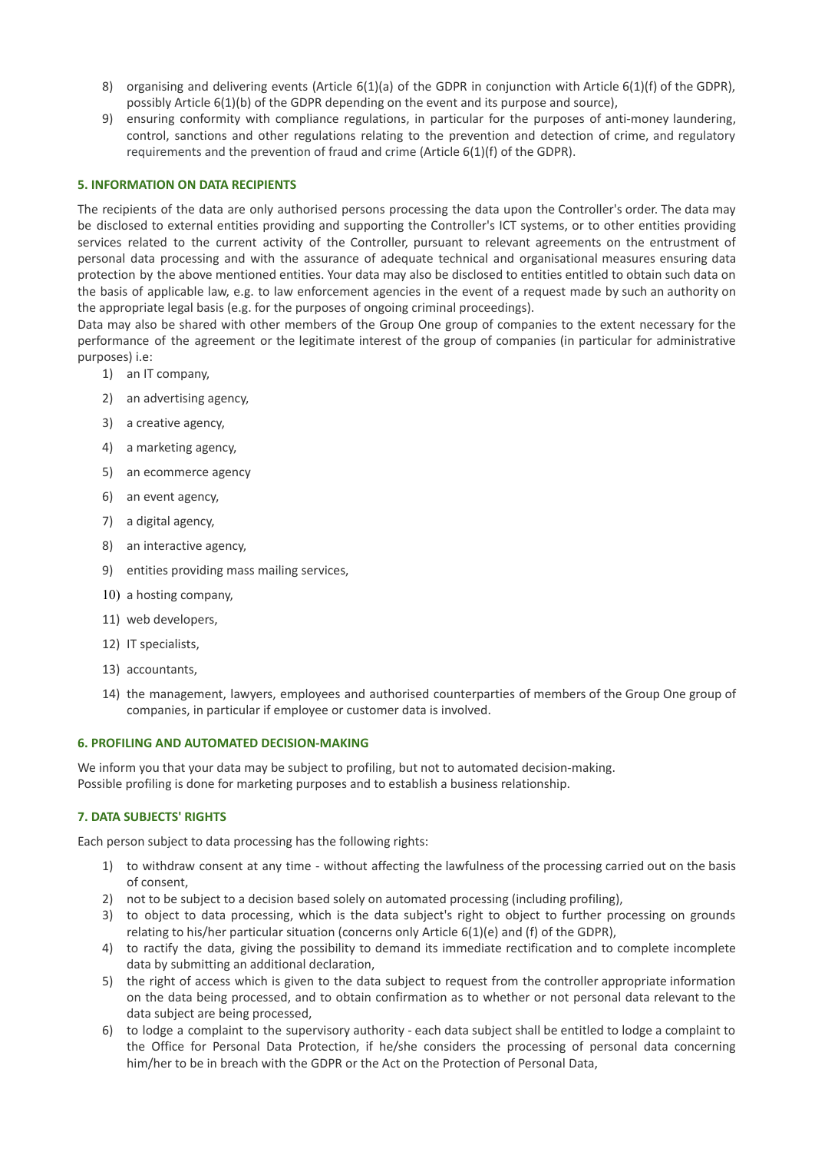- 8) organising and delivering events (Article 6(1)(a) of the GDPR in conjunction with Article 6(1)(f) of the GDPR), possibly Article 6(1)(b) of the GDPR depending on the event and its purpose and source),
- 9) ensuring conformity with compliance regulations, in particular for the purposes of anti-money laundering, control, sanctions and other regulations relating to the prevention and detection of crime, and regulatory requirements and the prevention of fraud and crime (Article 6(1)(f) of the GDPR).

## **5. INFORMATION ON DATA RECIPIENTS**

The recipients of the data are only authorised persons processing the data upon the Controller's order. The data may be disclosed to external entities providing and supporting the Controller's ICT systems, or to other entities providing services related to the current activity of the Controller, pursuant to relevant agreements on the entrustment of personal data processing and with the assurance of adequate technical and organisational measures ensuring data protection by the above mentioned entities. Your data may also be disclosed to entities entitled to obtain such data on the basis of applicable law, e.g. to law enforcement agencies in the event of a request made by such an authority on the appropriate legal basis (e.g. for the purposes of ongoing criminal proceedings).

Data may also be shared with other members of the Group One group of companies to the extent necessary for the performance of the agreement or the legitimate interest of the group of companies (in particular for administrative purposes) i.e:

- 1) an IT company,
- 2) an advertising agency,
- 3) a creative agency,
- 4) a marketing agency,
- 5) an ecommerce agency
- 6) an event agency,
- 7) a digital agency,
- 8) an interactive agency,
- 9) entities providing mass mailing services,
- 10) a hosting company,
- 11) web developers,
- 12) IT specialists,
- 13) accountants,
- 14) the management, lawyers, employees and authorised counterparties of members of the Group One group of companies, in particular if employee or customer data is involved.

## **6. PROFILING AND AUTOMATED DECISION-MAKING**

We inform you that your data may be subject to profiling, but not to automated decision-making. Possible profiling is done for marketing purposes and to establish a business relationship.

# **7. DATA SUBJECTS' RIGHTS**

Each person subject to data processing has the following rights:

- 1) to withdraw consent at any time without affecting the lawfulness of the processing carried out on the basis of consent,
- 2) not to be subject to a decision based solely on automated processing (including profiling),
- 3) to object to data processing, which is the data subject's right to object to further processing on grounds relating to his/her particular situation (concerns only Article 6(1)(e) and (f) of the GDPR),
- 4) to ractify the data, giving the possibility to demand its immediate rectification and to complete incomplete data by submitting an additional declaration,
- 5) the right of access which is given to the data subject to request from the controller appropriate information on the data being processed, and to obtain confirmation as to whether or not personal data relevant to the data subject are being processed,
- 6) to lodge a complaint to the supervisory authority each data subject shall be entitled to lodge a complaint to the Office for Personal Data Protection, if he/she considers the processing of personal data concerning him/her to be in breach with the GDPR or the Act on the Protection of Personal Data,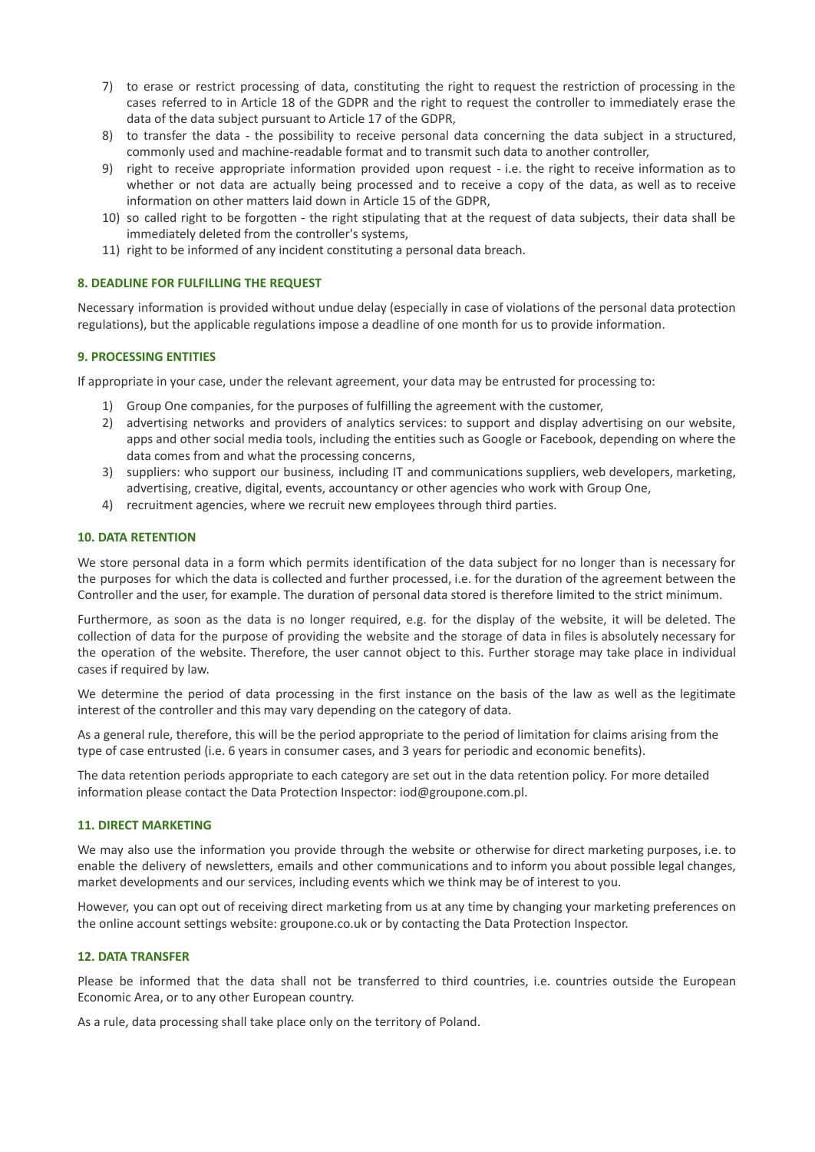- 7) to erase or restrict processing of data, constituting the right to request the restriction of processing in the cases referred to in Article 18 of the GDPR and the right to request the controller to immediately erase the data of the data subject pursuant to Article 17 of the GDPR,
- 8) to transfer the data the possibility to receive personal data concerning the data subject in a structured, commonly used and machine-readable format and to transmit such data to another controller,
- 9) right to receive appropriate information provided upon request i.e. the right to receive information as to whether or not data are actually being processed and to receive a copy of the data, as well as to receive information on other matters laid down in Article 15 of the GDPR,
- 10) so called right to be forgotten the right stipulating that at the request of data subjects, their data shall be immediately deleted from the controller's systems,
- 11) right to be informed of any incident constituting a personal data breach.

### **8. DEADLINE FOR FULFILLING THE REQUEST**

Necessary information is provided without undue delay (especially in case of violations of the personal data protection regulations), but the applicable regulations impose a deadline of one month for us to provide information.

### **9. PROCESSING ENTITIES**

If appropriate in your case, under the relevant agreement, your data may be entrusted for processing to:

- 1) Group One companies, for the purposes of fulfilling the agreement with the customer,
- 2) advertising networks and providers of analytics services: to support and display advertising on our website, apps and other social media tools, including the entities such as Google or Facebook, depending on where the data comes from and what the processing concerns,
- 3) suppliers: who support our business, including IT and communications suppliers, web developers, marketing, advertising, creative, digital, events, accountancy or other agencies who work with Group One,
- 4) recruitment agencies, where we recruit new employees through third parties.

### **10. DATA RETENTION**

We store personal data in a form which permits identification of the data subject for no longer than is necessary for the purposes for which the data is collected and further processed, i.e. for the duration of the agreement between the Controller and the user, for example. The duration of personal data stored is therefore limited to the strict minimum.

Furthermore, as soon as the data is no longer required, e.g. for the display of the website, it will be deleted. The collection of data for the purpose of providing the website and the storage of data in files is absolutely necessary for the operation of the website. Therefore, the user cannot object to this. Further storage may take place in individual cases if required by law.

We determine the period of data processing in the first instance on the basis of the law as well as the legitimate interest of the controller and this may vary depending on the category of data.

As a general rule, therefore, this will be the period appropriate to the period of limitation for claims arising from the type of case entrusted (i.e. 6 years in consumer cases, and 3 years for periodic and economic benefits).

The data retention periods appropriate to each category are set out in the data retention policy. For more detailed information please contact the Data Protection Inspector: iod@groupone.com.pl.

#### **11. DIRECT MARKETING**

We may also use the information you provide through the website or otherwise for direct marketing purposes, i.e. to enable the delivery of newsletters, emails and other communications and to inform you about possible legal changes, market developments and our services, including events which we think may be of interest to you.

However, you can opt out of receiving direct marketing from us at any time by changing your marketing preferences on the online account settings website: groupone.co.uk or by contacting the Data Protection Inspector.

#### **12. DATA TRANSFER**

Please be informed that the data shall not be transferred to third countries, i.e. countries outside the European Economic Area, or to any other European country.

As a rule, data processing shall take place only on the territory of Poland.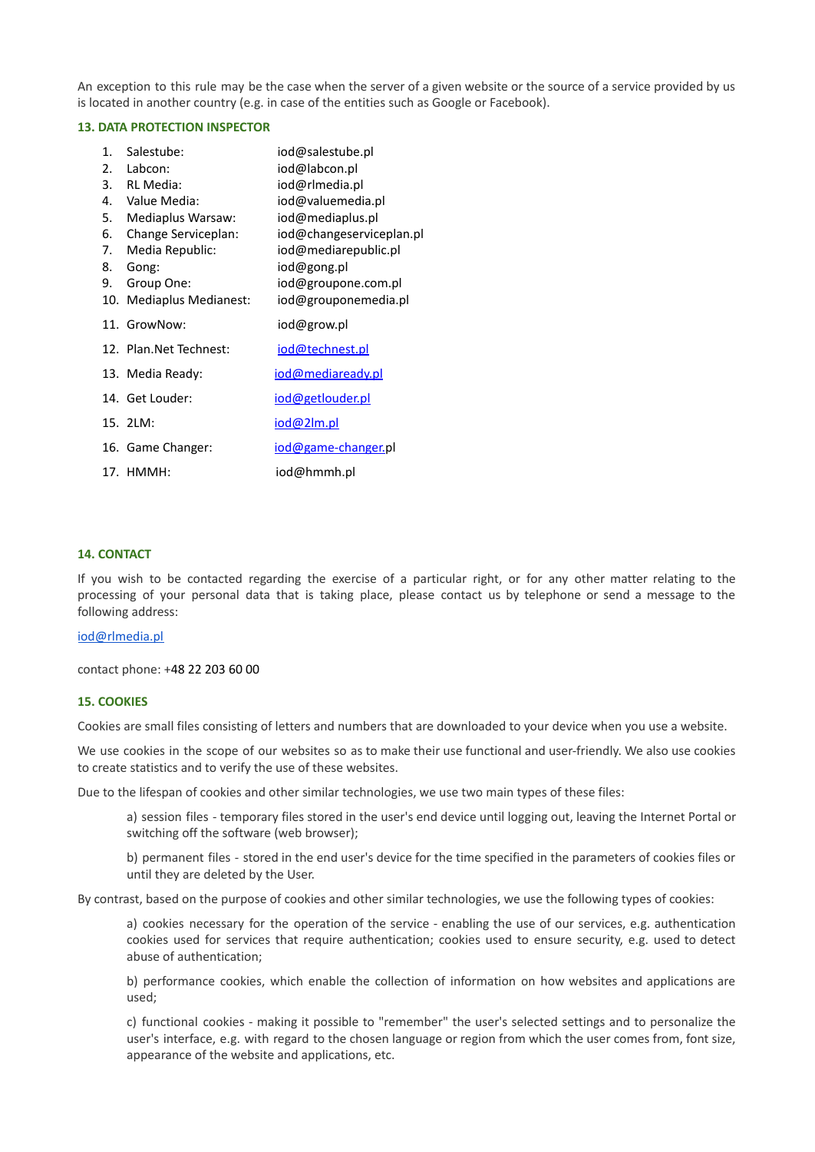An exception to this rule may be the case when the server of a given website or the source of a service provided by us is located in another country (e.g. in case of the entities such as Google or Facebook).

### **13. DATA PROTECTION INSPECTOR**

| 1.<br>2.<br>4.<br>5.<br>6.<br>7.<br>8.<br>9. | Salestube:<br>Labcon:<br>3. RL Media:<br>Value Media:<br>Mediaplus Warsaw:<br>Change Serviceplan:<br>Media Republic:<br>Gong:<br>Group One:<br>10. Mediaplus Medianest: | iod@salestube.pl<br>iod@labcon.pl<br>iod@rlmedia.pl<br>iod@valuemedia.pl<br>iod@mediaplus.pl<br>iod@changeserviceplan.pl<br>iod@mediarepublic.pl<br>iod@gong.pl<br>iod@groupone.com.pl<br>iod@grouponemedia.pl |
|----------------------------------------------|-------------------------------------------------------------------------------------------------------------------------------------------------------------------------|----------------------------------------------------------------------------------------------------------------------------------------------------------------------------------------------------------------|
|                                              | 11. GrowNow:                                                                                                                                                            | iod@grow.pl                                                                                                                                                                                                    |
|                                              | 12. Plan. Net Technest:                                                                                                                                                 | iod@technest.pl                                                                                                                                                                                                |
|                                              | 13. Media Ready:                                                                                                                                                        | iod@mediaready.pl                                                                                                                                                                                              |
|                                              | 14. Get Louder:                                                                                                                                                         | iod@getlouder.pl                                                                                                                                                                                               |
|                                              | 15. 2LM:                                                                                                                                                                | iod@2lm.pl                                                                                                                                                                                                     |
|                                              | 16. Game Changer:                                                                                                                                                       | iod@game-changer.pl                                                                                                                                                                                            |
|                                              | 17. HMMH:                                                                                                                                                               | iod@hmmh.pl                                                                                                                                                                                                    |

## **14. CONTACT**

If you wish to be contacted regarding the exercise of a particular right, or for any other matter relating to the processing of your personal data that is taking place, please contact us by telephone or send a message to the following address:

### [iod@rlmedia.pl](mailto:iod@rlmedia.pl)

contact phone: +48 22 203 60 00

#### **15. COOKIES**

Cookies are small files consisting of letters and numbers that are downloaded to your device when you use a website.

We use cookies in the scope of our websites so as to make their use functional and user-friendly. We also use cookies to create statistics and to verify the use of these websites.

Due to the lifespan of cookies and other similar technologies, we use two main types of these files:

a) session files - temporary files stored in the user's end device until logging out, leaving the Internet Portal or switching off the software (web browser);

b) permanent files - stored in the end user's device for the time specified in the parameters of cookies files or until they are deleted by the User.

By contrast, based on the purpose of cookies and other similar technologies, we use the following types of cookies:

a) cookies necessary for the operation of the service - enabling the use of our services, e.g. authentication cookies used for services that require authentication; cookies used to ensure security, e.g. used to detect abuse of authentication;

b) performance cookies, which enable the collection of information on how websites and applications are used;

c) functional cookies - making it possible to "remember" the user's selected settings and to personalize the user's interface, e.g. with regard to the chosen language or region from which the user comes from, font size, appearance of the website and applications, etc.